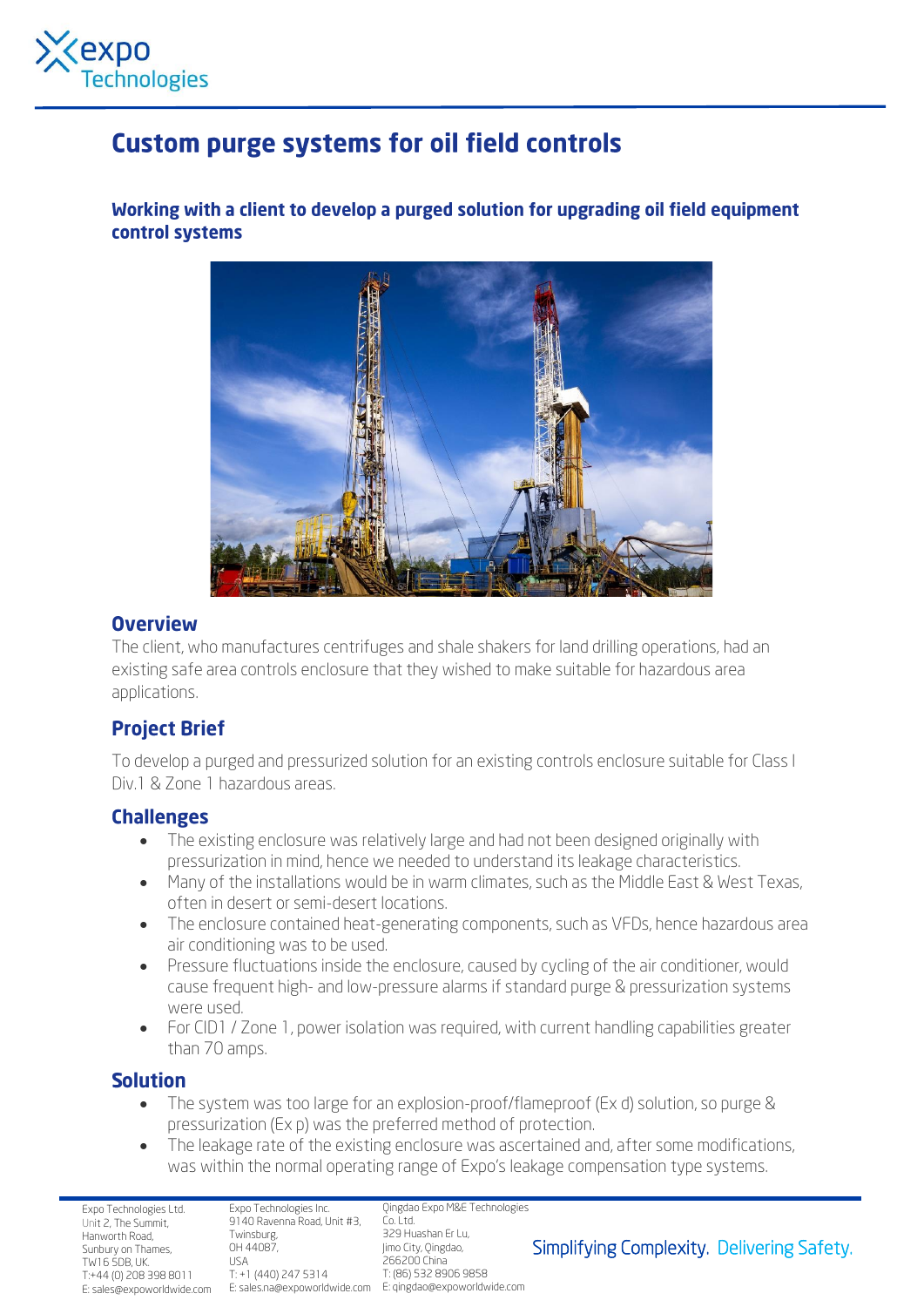

# **Custom purge systems for oil field controls**

Working with a client to develop a purged solution for upgrading oil field equipment control systems



#### **Overview**

The client, who manufactures centrifuges and shale shakers for land drilling operations, had an existing safe area controls enclosure that they wished to make suitable for hazardous area applications.

# **Project Brief**

To develop a purged and pressurized solution for an existing controls enclosure suitable for Class I Div.1 & Zone 1 hazardous areas.

#### **Challenges**

- The existing enclosure was relatively large and had not been designed originally with pressurization in mind, hence we needed to understand its leakage characteristics.
- Many of the installations would be in warm climates, such as the Middle East & West Texas, often in desert or semi-desert locations.
- The enclosure contained heat-generating components, such as VFDs, hence hazardous area air conditioning was to be used.
- Pressure fluctuations inside the enclosure, caused by cycling of the air conditioner, would cause frequent high- and low-pressure alarms if standard purge & pressurization systems were used.
- For CID1 / Zone 1, power isolation was required, with current handling capabilities greater than 70 amps.

## **Solution**

- The system was too large for an explosion-proof/flameproof (Ex d) solution, so purge & pressurization (Ex p) was the preferred method of protection.
- The leakage rate of the existing enclosure was ascertained and, after some modifications, was within the normal operating range of Expo's leakage compensation type systems.

Expo Technologies Ltd. Unit 2, The Summit, Hanworth Road, Sunbury on Thames, TW16 5DB, UK. T:+44 (0) 208 398 8011

Expo Technologies Inc. 9140 Ravenna Road, Unit #3, Co. Ltd. Twinsburg, OH 44087, USA T: +1 (440) 247 5314

E: sales@expoworldwide.com E: sales.na@expoworldwide.com E: qingdao@expoworldwide.com Qingdao Expo M&E Technologies 329 Huashan Er Lu, Jimo City, Qingdao, 266200 China T: (86) 532 8906 9858

## Simplifying Complexity. Delivering Safety.